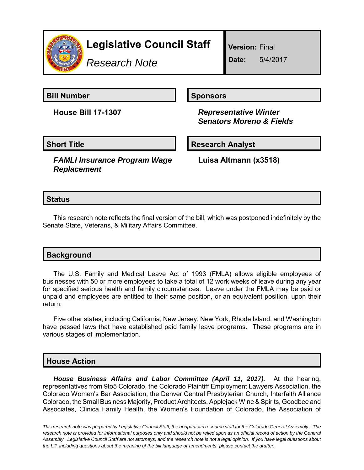

# **Legislative Council Staff**

*Research Note*

**Version:** Final

**Date:** 5/4/2017

**Bill Number Sponsors** 

**House Bill 17-1307** *Representative Winter Senators Moreno & Fields*

**Short Title Community Community Community Research Analyst** 

*FAMLI Insurance Program Wage Replacement*

**Luisa Altmann (x3518)**

## **Status**

This research note reflects the final version of the bill, which was postponed indefinitely by the Senate State, Veterans, & Military Affairs Committee.

| <b>Background</b> |  |  |
|-------------------|--|--|
|                   |  |  |

The U.S. Family and Medical Leave Act of 1993 (FMLA) allows eligible employees of businesses with 50 or more employees to take a total of 12 work weeks of leave during any year for specified serious health and family circumstances. Leave under the FMLA may be paid or unpaid and employees are entitled to their same position, or an equivalent position, upon their return.

Five other states, including California, New Jersey, New York, Rhode Island, and Washington have passed laws that have established paid family leave programs. These programs are in various stages of implementation.

## **House Action**

*House Business Affairs and Labor Committee (April 11, 2017).* At the hearing, representatives from 9to5 Colorado, the Colorado Plaintiff Employment Lawyers Association, the Colorado Women's Bar Association, the Denver Central Presbyterian Church, Interfaith Alliance Colorado, the Small Business Majority, Product Architects, Applejack Wine & Spirits, Goodbee and Associates, Clinica Family Health, the Women's Foundation of Colorado, the Association of

*This research note was prepared by Legislative Council Staff, the nonpartisan research staff for the Colorado General Assembly. The research note is provided for informational purposes only and should not be relied upon as an official record of action by the General Assembly. Legislative Council Staff are not attorneys, and the research note is not a legal opinion. If you have legal questions about the bill, including questions about the meaning of the bill language or amendments, please contact the drafter.*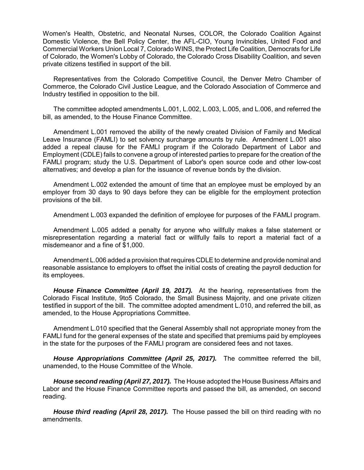Women's Health, Obstetric, and Neonatal Nurses, COLOR, the Colorado Coalition Against Domestic Violence, the Bell Policy Center, the AFL-CIO, Young Invincibles, United Food and Commercial Workers Union Local 7, Colorado WINS, the Protect Life Coalition, Democrats for Life of Colorado, the Women's Lobby of Colorado, the Colorado Cross Disability Coalition, and seven private citizens testified in support of the bill.

Representatives from the Colorado Competitive Council, the Denver Metro Chamber of Commerce, the Colorado Civil Justice League, and the Colorado Association of Commerce and Industry testified in opposition to the bill.

The committee adopted amendments L.001, L.002, L.003, L.005, and L.006, and referred the bill, as amended, to the House Finance Committee.

Amendment L.001 removed the ability of the newly created Division of Family and Medical Leave Insurance (FAMLI) to set solvency surcharge amounts by rule. Amendment L.001 also added a repeal clause for the FAMLI program if the Colorado Department of Labor and Employment (CDLE) fails to convene a group of interested parties to prepare for the creation of the FAMLI program; study the U.S. Department of Labor's open source code and other low-cost alternatives; and develop a plan for the issuance of revenue bonds by the division.

Amendment L.002 extended the amount of time that an employee must be employed by an employer from 30 days to 90 days before they can be eligible for the employment protection provisions of the bill.

Amendment L.003 expanded the definition of employee for purposes of the FAMLI program.

Amendment L.005 added a penalty for anyone who willfully makes a false statement or misrepresentation regarding a material fact or willfully fails to report a material fact of a misdemeanor and a fine of \$1,000.

Amendment L.006 added a provision that requires CDLE to determine and provide nominal and reasonable assistance to employers to offset the initial costs of creating the payroll deduction for its employees.

*House Finance Committee (April 19, 2017).* At the hearing, representatives from the Colorado Fiscal Institute, 9to5 Colorado, the Small Business Majority, and one private citizen testified in support of the bill. The committee adopted amendment L.010, and referred the bill, as amended, to the House Appropriations Committee.

Amendment L.010 specified that the General Assembly shall not appropriate money from the FAMLI fund for the general expenses of the state and specified that premiums paid by employees in the state for the purposes of the FAMLI program are considered fees and not taxes.

*House Appropriations Committee (April 25, 2017).* The committee referred the bill, unamended, to the House Committee of the Whole.

*House second reading (April 27, 2017).* The House adopted the House Business Affairs and Labor and the House Finance Committee reports and passed the bill, as amended, on second reading.

*House third reading (April 28, 2017).* The House passed the bill on third reading with no amendments.